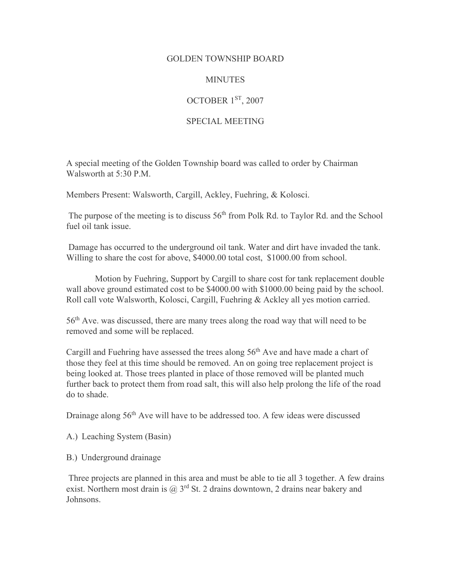## GOLDEN TOWNSHIP BOARD

## **MINUTES**

## OCTOBER 1ST, 2007

## SPECIAL MEETING

A special meeting of the Golden Township board was called to order by Chairman Walsworth at 5:30 P.M.

Members Present: Walsworth, Cargill, Ackley, Fuehring, & Kolosci.

The purpose of the meeting is to discuss 56<sup>th</sup> from Polk Rd. to Taylor Rd. and the School fuel oil tank issue.

 Damage has occurred to the underground oil tank. Water and dirt have invaded the tank. Willing to share the cost for above, \$4000.00 total cost, \$1000.00 from school.

 Motion by Fuehring, Support by Cargill to share cost for tank replacement double wall above ground estimated cost to be \$4000.00 with \$1000.00 being paid by the school. Roll call vote Walsworth, Kolosci, Cargill, Fuehring & Ackley all yes motion carried.

56th Ave. was discussed, there are many trees along the road way that will need to be removed and some will be replaced.

Cargill and Fuehring have assessed the trees along 56<sup>th</sup> Ave and have made a chart of those they feel at this time should be removed. An on going tree replacement project is being looked at. Those trees planted in place of those removed will be planted much further back to protect them from road salt, this will also help prolong the life of the road do to shade.

Drainage along 56<sup>th</sup> Ave will have to be addressed too. A few ideas were discussed

- A.) Leaching System (Basin)
- B.) Underground drainage

 Three projects are planned in this area and must be able to tie all 3 together. A few drains exist. Northern most drain is  $\omega$  3<sup>rd</sup> St. 2 drains downtown, 2 drains near bakery and Johnsons.